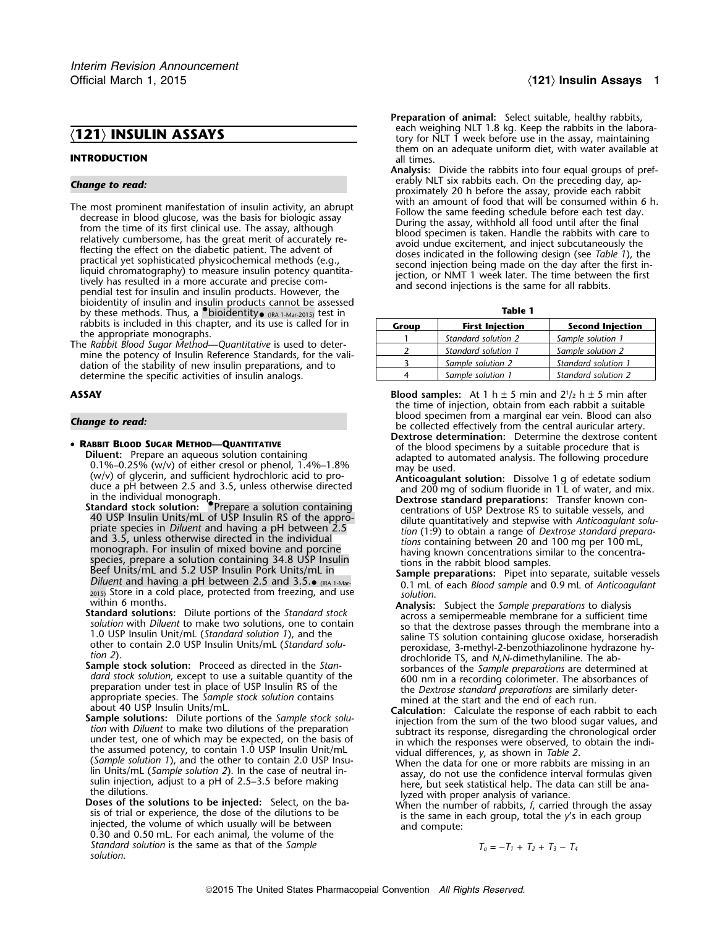- The most prominent manifestation of insulin activity, an abrupt decrease in blood glucose, was the basis for biologic assay and the same feeding schedule before each test day.<br>
Follow the same feeding schedule before each bioidentity of insulin and insulin products cannot be assessed by these methods. Thus, a •.bioidentity **Table 1** • (IRA 1-Mar-2015) test in
- rabbits is included in this chapter, and its use is called for in<br>the appropriate monographs.<br>The *Rabbit Blood Sugar Method—Quantitative* is used to deter-<br>mine the potency of Insulin Reference Standards, for the validation of the stability of new insulin preparations, and to determine the specific activities of insulin analogs.

- RABBIT BLOOD SUGAR METHOD-QUANTITATIVE
- **RABBIT BLOOD SUGAR METHOD—QUANTITATIVE** of the blood specimens by a suitable procedure that is<br>
Diluent: Prepare an aqueous solution containing<br>
0.1%-0.25% (w/v) of either cresol or phenol, 1.4%-1.8%<br>
(w/v) of glycerin,
	- Standard stock solution: **Containing**<br>
	40 USP Insulin Units/mL of USP Insulin RS of the approcurations of USP Dextrose RS to suitable vessels, and<br>
	40 USP Insulin Units/mL of USP Insulin RS of the appro-<br>
	private species Diluent and having a pH between 2.5 and 3.5.<br>
	0.1 mL of each *Blood sample* and 0.9 mL of *Anticoagulant* <sup>2015</sup>) Store in a cold place, protected from freezing, and use *solution*<br>within 6 months.
	-
	- ample stock solution: Proceed as directed in the *stan-*<br>
	dard stock solution, except to use a suitable quantity of the<br>
	appropriate species. The *Sample stock solution* contains<br>
	appropriate species. The *Sample stock sol*
	- about 40 USP Insulin Units/ml.<br> **Calculation:** Calculate the response of each rabbit to each<br>
	stron with Diluent to make two dilutions of the *Sample stock solu*<br>
	from with Diluent to make two dilutions of the preparation
	- *T*andard solution is the same as that of the Sample *solution*.

- Preparation of animal: Select suitable, healthy rabbits, each weighing NLT 1.8 kg. Keep the rabbits in the labora-<br> **121) INSULIN ASSAYS** tory for NLT 1 week before use in the assay, maintaining them on an adequate uniform diet, with water available at **INTRODUCTION** all times.
- **Analysis:** Divide the rabbits into four equal groups of preferably NLT six rabbits each. On the preceding day, ap- *Change to read:* proximately 20 h before the assay, provide each rabbit

| .     |                        |                         |  |  |  |
|-------|------------------------|-------------------------|--|--|--|
| Group | <b>First Injection</b> | <b>Second Injection</b> |  |  |  |
|       | Standard solution 2    | Sample solution 1       |  |  |  |
|       | Standard solution 1    | Sample solution 2       |  |  |  |
|       | Sample solution 2      | Standard solution 1     |  |  |  |
|       | Sample solution 1      | Standard solution 2     |  |  |  |

- **Blood samples:** At 1 h  $\pm$  5 min and 2<sup>1</sup>/<sub>2</sub> h  $\pm$  5 min after the time of injection, obtain from each rabbit a suitable blood specimen from a marginal ear vein. Blood can also *Change to read:* be collected effectively from the central auricular artery.
	- **Dextrose determination:** Determine the dextrose content
	-
	-
	- within 6 months.<br> **Standard solutions:** Dilute portions of the *Standard stock*<br>
	solution with *Diluent* to make two solutions, one to contain<br>
	1.0 USP Insulin Unit/mL (*Standard solution 1*), and the<br>
	other to contain 2.0
		-
		-
		-

$$
T_a = -T_1 + T_2 + T_3 - T_4
$$